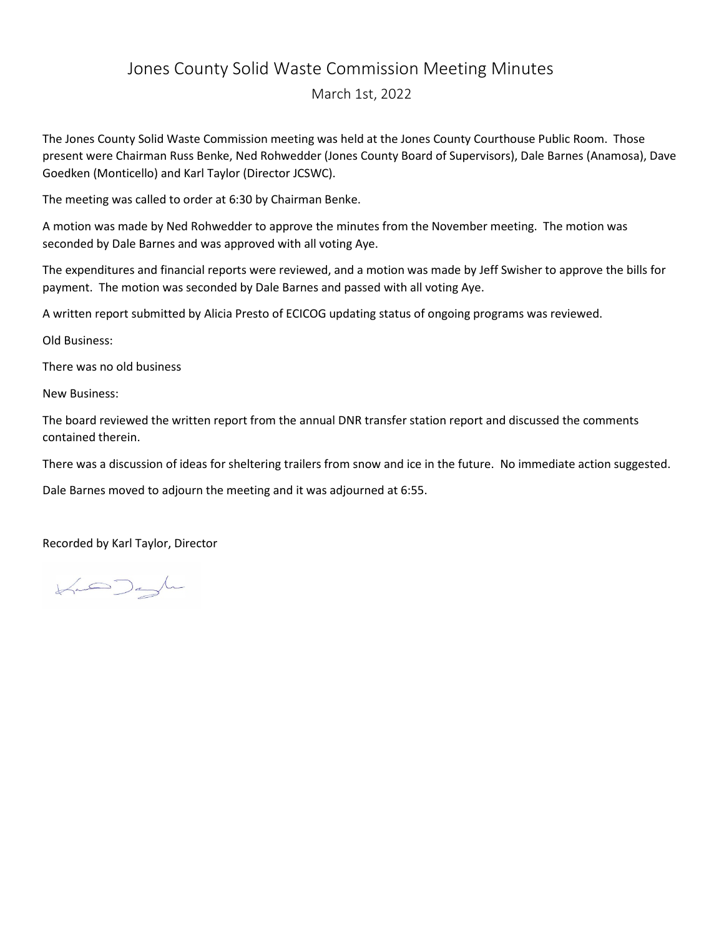## Jones County Solid Waste Commission Meeting Minutes

March 1st, 2022

The Jones County Solid Waste Commission meeting was held at the Jones County Courthouse Public Room. Those present were Chairman Russ Benke, Ned Rohwedder (Jones County Board of Supervisors), Dale Barnes (Anamosa), Dave Goedken (Monticello) and Karl Taylor (Director JCSWC).

The meeting was called to order at 6:30 by Chairman Benke.

A motion was made by Ned Rohwedder to approve the minutes from the November meeting. The motion was seconded by Dale Barnes and was approved with all voting Aye.

The expenditures and financial reports were reviewed, and a motion was made by Jeff Swisher to approve the bills for payment. The motion was seconded by Dale Barnes and passed with all voting Aye.

A written report submitted by Alicia Presto of ECICOG updating status of ongoing programs was reviewed.

Old Business:

There was no old business

New Business:

The board reviewed the written report from the annual DNR transfer station report and discussed the comments contained therein.

There was a discussion of ideas for sheltering trailers from snow and ice in the future. No immediate action suggested.

Dale Barnes moved to adjourn the meeting and it was adjourned at 6:55.

Recorded by Karl Taylor, Director